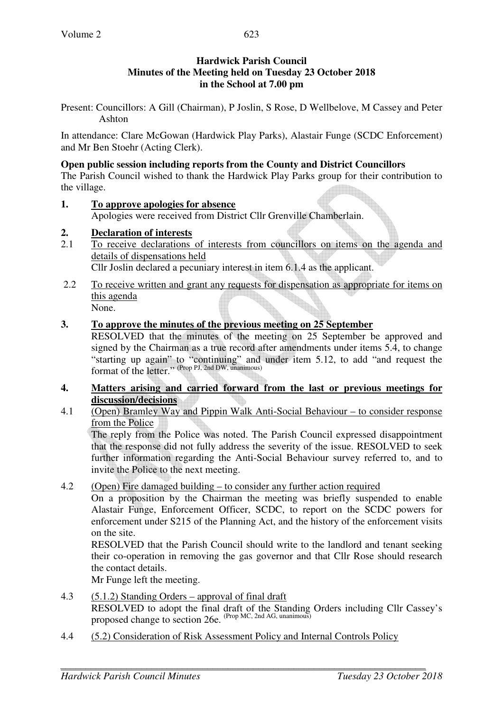# **Hardwick Parish Council Minutes of the Meeting held on Tuesday 23 October 2018 in the School at 7.00 pm**

Present: Councillors: A Gill (Chairman), P Joslin, S Rose, D Wellbelove, M Cassey and Peter Ashton

In attendance: Clare McGowan (Hardwick Play Parks), Alastair Funge (SCDC Enforcement) and Mr Ben Stoehr (Acting Clerk).

### **Open public session including reports from the County and District Councillors**

The Parish Council wished to thank the Hardwick Play Parks group for their contribution to the village.

### **1. To approve apologies for absence**

Apologies were received from District Cllr Grenville Chamberlain.

# **2. Declaration of interests**

- 2.1 To receive declarations of interests from councillors on items on the agenda and details of dispensations held Cllr Joslin declared a pecuniary interest in item 6.1.4 as the applicant.
- 2.2 To receive written and grant any requests for dispensation as appropriate for items on this agenda

None.

# **3. To approve the minutes of the previous meeting on 25 September**

RESOLVED that the minutes of the meeting on 25 September be approved and signed by the Chairman as a true record after amendments under items 5.4, to change "starting up again" to "continuing" and under item 5.12, to add "and request the format of the letter." (Prop PJ, 2nd DW, unanimous)

- **4. Matters arising and carried forward from the last or previous meetings for discussion/decisions**
- 4.1 (Open) Bramley Way and Pippin Walk Anti-Social Behaviour to consider response from the Police

 The reply from the Police was noted. The Parish Council expressed disappointment that the response did not fully address the severity of the issue. RESOLVED to seek further information regarding the Anti-Social Behaviour survey referred to, and to invite the Police to the next meeting.

4.2 (Open) Fire damaged building – to consider any further action required

On a proposition by the Chairman the meeting was briefly suspended to enable Alastair Funge, Enforcement Officer, SCDC, to report on the SCDC powers for enforcement under S215 of the Planning Act, and the history of the enforcement visits on the site.

RESOLVED that the Parish Council should write to the landlord and tenant seeking their co-operation in removing the gas governor and that Cllr Rose should research the contact details.

Mr Funge left the meeting.

- 4.3 (5.1.2) Standing Orders approval of final draft RESOLVED to adopt the final draft of the Standing Orders including Cllr Cassey's proposed change to section 26e. (Prop MC, 2nd AG, unanimous)
- 4.4 (5.2) Consideration of Risk Assessment Policy and Internal Controls Policy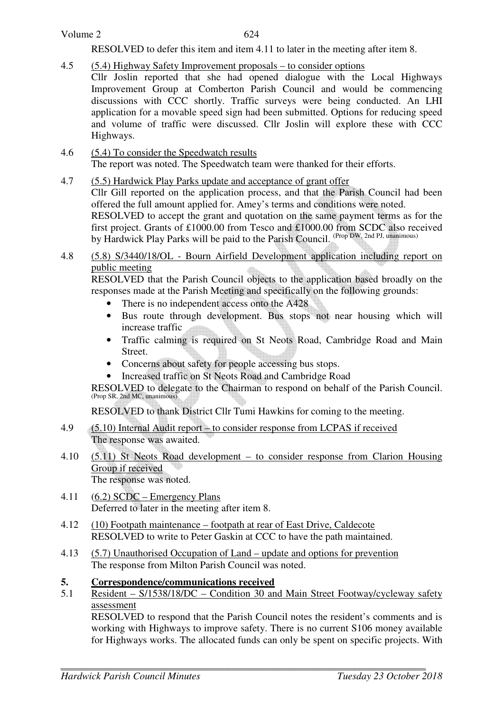## Volume 2

624

RESOLVED to defer this item and item 4.11 to later in the meeting after item 8.

- 4.5 (5.4) Highway Safety Improvement proposals to consider options Cllr Joslin reported that she had opened dialogue with the Local Highways Improvement Group at Comberton Parish Council and would be commencing discussions with CCC shortly. Traffic surveys were being conducted. An LHI application for a movable speed sign had been submitted. Options for reducing speed and volume of traffic were discussed. Cllr Joslin will explore these with CCC Highways.
- 4.6 (5.4) To consider the Speedwatch results The report was noted. The Speedwatch team were thanked for their efforts.
- 4.7 (5.5) Hardwick Play Parks update and acceptance of grant offer

Cllr Gill reported on the application process, and that the Parish Council had been offered the full amount applied for. Amey's terms and conditions were noted.

RESOLVED to accept the grant and quotation on the same payment terms as for the first project. Grants of £1000.00 from Tesco and £1000.00 from SCDC also received by Hardwick Play Parks will be paid to the Parish Council. (Prop DW, 2nd PJ, unanimous)

4.8 (5.8) S/3440/18/OL - Bourn Airfield Development application including report on public meeting

RESOLVED that the Parish Council objects to the application based broadly on the responses made at the Parish Meeting and specifically on the following grounds:

- There is no independent access onto the A428
- Bus route through development. Bus stops not near housing which will increase traffic
- Traffic calming is required on St Neots Road, Cambridge Road and Main Street.
- Concerns about safety for people accessing bus stops.
- Increased traffic on St Neots Road and Cambridge Road

RESOLVED to delegate to the Chairman to respond on behalf of the Parish Council. (Prop SR, 2nd MC, unanimous)

RESOLVED to thank District Cllr Tumi Hawkins for coming to the meeting.

- 4.9 (5.10) Internal Audit report to consider response from LCPAS if received The response was awaited.
- 4.10 (5.11) St Neots Road development to consider response from Clarion Housing Group if received The response was noted.
- 4.11 (6.2) SCDC Emergency Plans Deferred to later in the meeting after item 8.
- 4.12 (10) Footpath maintenance footpath at rear of East Drive, Caldecote RESOLVED to write to Peter Gaskin at CCC to have the path maintained.
- 4.13 (5.7) Unauthorised Occupation of Land update and options for prevention The response from Milton Parish Council was noted.

### **5. Correspondence/communications received**

5.1 Resident – S/1538/18/DC – Condition 30 and Main Street Footway/cycleway safety assessment

 RESOLVED to respond that the Parish Council notes the resident's comments and is working with Highways to improve safety. There is no current S106 money available for Highways works. The allocated funds can only be spent on specific projects. With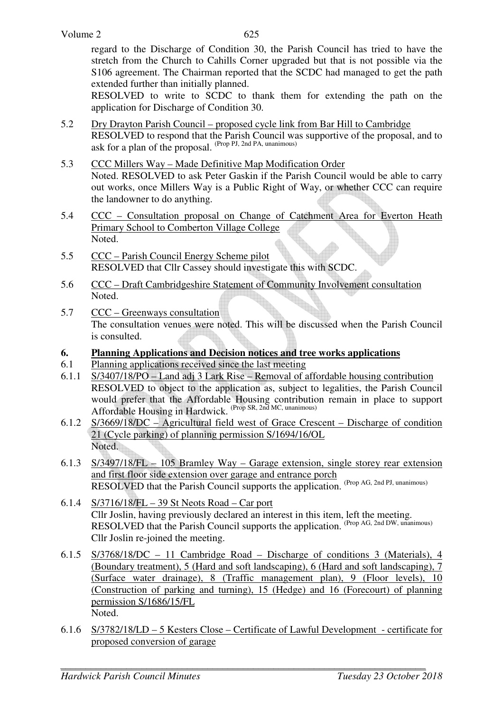regard to the Discharge of Condition 30, the Parish Council has tried to have the stretch from the Church to Cahills Corner upgraded but that is not possible via the S106 agreement. The Chairman reported that the SCDC had managed to get the path extended further than initially planned.

 RESOLVED to write to SCDC to thank them for extending the path on the application for Discharge of Condition 30.

- 5.2 Dry Drayton Parish Council proposed cycle link from Bar Hill to Cambridge RESOLVED to respond that the Parish Council was supportive of the proposal, and to ask for a plan of the proposal. (Prop PJ, 2nd PA, unanimous)
- 5.3 CCC Millers Way Made Definitive Map Modification Order Noted. RESOLVED to ask Peter Gaskin if the Parish Council would be able to carry out works, once Millers Way is a Public Right of Way, or whether CCC can require the landowner to do anything.
- 5.4 CCC Consultation proposal on Change of Catchment Area for Everton Heath Primary School to Comberton Village College Noted.
- 5.5 CCC Parish Council Energy Scheme pilot RESOLVED that Cllr Cassey should investigate this with SCDC.
- 5.6 CCC Draft Cambridgeshire Statement of Community Involvement consultation Noted.
- 5.7 CCC Greenways consultation The consultation venues were noted. This will be discussed when the Parish Council is consulted.
- **6. Planning Applications and Decision notices and tree works applications**
- 6.1 Planning applications received since the last meeting
- 6.1.1 S/3407/18/PO Land adj 3 Lark Rise Removal of affordable housing contribution RESOLVED to object to the application as, subject to legalities, the Parish Council would prefer that the Affordable Housing contribution remain in place to support Affordable Housing in Hardwick. (Prop SR, 2nd MC, unanimous)
- 6.1.2 S/3669/18/DC Agricultural field west of Grace Crescent Discharge of condition 21 (Cycle parking) of planning permission S/1694/16/OL Noted.
- 6.1.3 S/3497/18/FL 105 Bramley Way Garage extension, single storey rear extension and first floor side extension over garage and entrance porch RESOLVED that the Parish Council supports the application. (Prop AG, 2nd PJ, unanimous)
- 6.1.4 S/3716/18/FL 39 St Neots Road Car port Cllr Joslin, having previously declared an interest in this item, left the meeting. RESOLVED that the Parish Council supports the application. (Prop AG, 2nd DW, unanimous) Cllr Joslin re-joined the meeting.
- 6.1.5 S/3768/18/DC 11 Cambridge Road Discharge of conditions 3 (Materials), 4 (Boundary treatment), 5 (Hard and soft landscaping), 6 (Hard and soft landscaping), 7 (Surface water drainage), 8 (Traffic management plan), 9 (Floor levels), 10 (Construction of parking and turning), 15 (Hedge) and 16 (Forecourt) of planning permission S/1686/15/FL Noted.
- 6.1.6 S/3782/18/LD 5 Kesters Close Certificate of Lawful Development certificate for proposed conversion of garage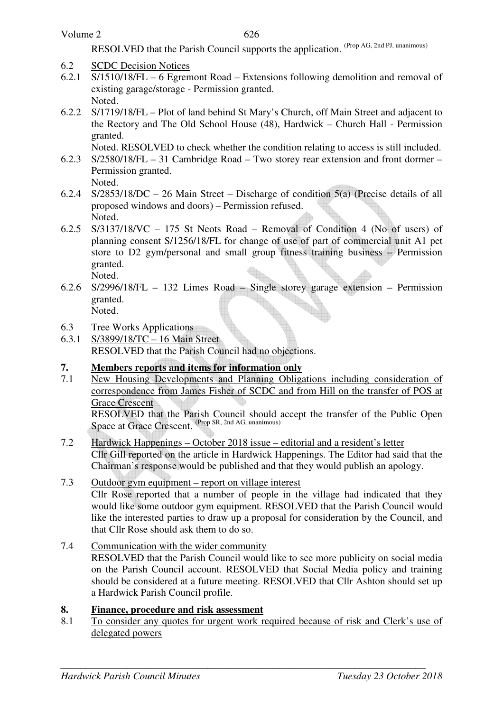RESOLVED that the Parish Council supports the application. (Prop AG, 2nd PJ, unanimous)

- 6.2 SCDC Decision Notices
- 6.2.1 S/1510/18/FL 6 Egremont Road Extensions following demolition and removal of existing garage/storage - Permission granted. Noted.
- 6.2.2 S/1719/18/FL Plot of land behind St Mary's Church, off Main Street and adjacent to the Rectory and The Old School House (48), Hardwick – Church Hall - Permission granted.

Noted. RESOLVED to check whether the condition relating to access is still included.

- 6.2.3 S/2580/18/FL 31 Cambridge Road Two storey rear extension and front dormer Permission granted. Noted.
- 6.2.4 S/2853/18/DC 26 Main Street Discharge of condition 5(a) (Precise details of all proposed windows and doors) – Permission refused. Noted.
- 6.2.5 S/3137/18/VC 175 St Neots Road Removal of Condition 4 (No of users) of planning consent S/1256/18/FL for change of use of part of commercial unit A1 pet store to D2 gym/personal and small group fitness training business – Permission granted. Noted.
- 6.2.6 S/2996/18/FL 132 Limes Road Single storey garage extension Permission granted. Noted.
- 6.3 Tree Works Applications
- 6.3.1 S/3899/18/TC 16 Main Street RESOLVED that the Parish Council had no objections.

# **7. Members reports and items for information only**

7.1 New Housing Developments and Planning Obligations including consideration of correspondence from James Fisher of SCDC and from Hill on the transfer of POS at Grace Crescent

RESOLVED that the Parish Council should accept the transfer of the Public Open Space at Grace Crescent. (Prop SR, 2nd AG, unanimous)

- 7.2 Hardwick Happenings October 2018 issue editorial and a resident's letter Cllr Gill reported on the article in Hardwick Happenings. The Editor had said that the Chairman's response would be published and that they would publish an apology.
- 7.3 Outdoor gym equipment report on village interest Cllr Rose reported that a number of people in the village had indicated that they would like some outdoor gym equipment. RESOLVED that the Parish Council would like the interested parties to draw up a proposal for consideration by the Council, and that Cllr Rose should ask them to do so.
- 7.4 Communication with the wider community RESOLVED that the Parish Council would like to see more publicity on social media on the Parish Council account. RESOLVED that Social Media policy and training should be considered at a future meeting. RESOLVED that Cllr Ashton should set up a Hardwick Parish Council profile.

### **8. Finance, procedure and risk assessment**

8.1 To consider any quotes for urgent work required because of risk and Clerk's use of delegated powers